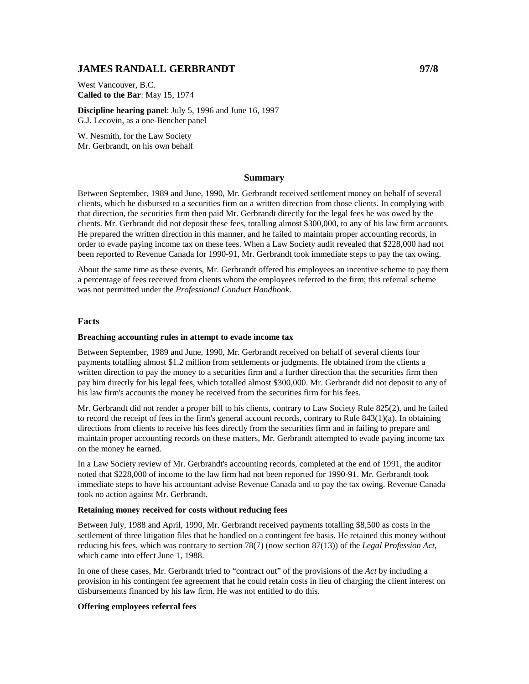# **JAMES RANDALL GERBRANDT 97/8**

West Vancouver, B.C. **Called to the Bar**: May 15, 1974

**Discipline hearing panel**: July 5, 1996 and June 16, 1997 G.J. Lecovin, as a one-Bencher panel

W. Nesmith, for the Law Society Mr. Gerbrandt, on his own behalf

# **Summary**

Between September, 1989 and June, 1990, Mr. Gerbrandt received settlement money on behalf of several clients, which he disbursed to a securities firm on a written direction from those clients. In complying with that direction, the securities firm then paid Mr. Gerbrandt directly for the legal fees he was owed by the clients. Mr. Gerbrandt did not deposit these fees, totalling almost \$300,000, to any of his law firm accounts. He prepared the written direction in this manner, and he failed to maintain proper accounting records, in order to evade paying income tax on these fees. When a Law Society audit revealed that \$228,000 had not been reported to Revenue Canada for 1990-91, Mr. Gerbrandt took immediate steps to pay the tax owing.

About the same time as these events, Mr. Gerbrandt offered his employees an incentive scheme to pay them a percentage of fees received from clients whom the employees referred to the firm; this referral scheme was not permitted under the *Professional Conduct Handbook*.

## **Facts**

# **Breaching accounting rules in attempt to evade income tax**

Between September, 1989 and June, 1990, Mr. Gerbrandt received on behalf of several clients four payments totalling almost \$1.2 million from settlements or judgments. He obtained from the clients a written direction to pay the money to a securities firm and a further direction that the securities firm then pay him directly for his legal fees, which totalled almost \$300,000. Mr. Gerbrandt did not deposit to any of his law firm's accounts the money he received from the securities firm for his fees.

Mr. Gerbrandt did not render a proper bill to his clients, contrary to Law Society Rule 825(2), and he failed to record the receipt of fees in the firm's general account records, contrary to Rule 843(1)(a). In obtaining directions from clients to receive his fees directly from the securities firm and in failing to prepare and maintain proper accounting records on these matters, Mr. Gerbrandt attempted to evade paying income tax on the money he earned.

In a Law Society review of Mr. Gerbrandt's accounting records, completed at the end of 1991, the auditor noted that \$228,000 of income to the law firm had not been reported for 1990-91. Mr. Gerbrandt took immediate steps to have his accountant advise Revenue Canada and to pay the tax owing. Revenue Canada took no action against Mr. Gerbrandt.

#### **Retaining money received for costs without reducing fees**

Between July, 1988 and April, 1990, Mr. Gerbrandt received payments totalling \$8,500 as costs in the settlement of three litigation files that he handled on a contingent fee basis. He retained this money without reducing his fees, which was contrary to section 78(7) (now section 87(13)) of the *Legal Profession Act*, which came into effect June 1, 1988.

In one of these cases, Mr. Gerbrandt tried to "contract out" of the provisions of the *Act* by including a provision in his contingent fee agreement that he could retain costs in lieu of charging the client interest on disbursements financed by his law firm. He was not entitled to do this.

# **Offering employees referral fees**